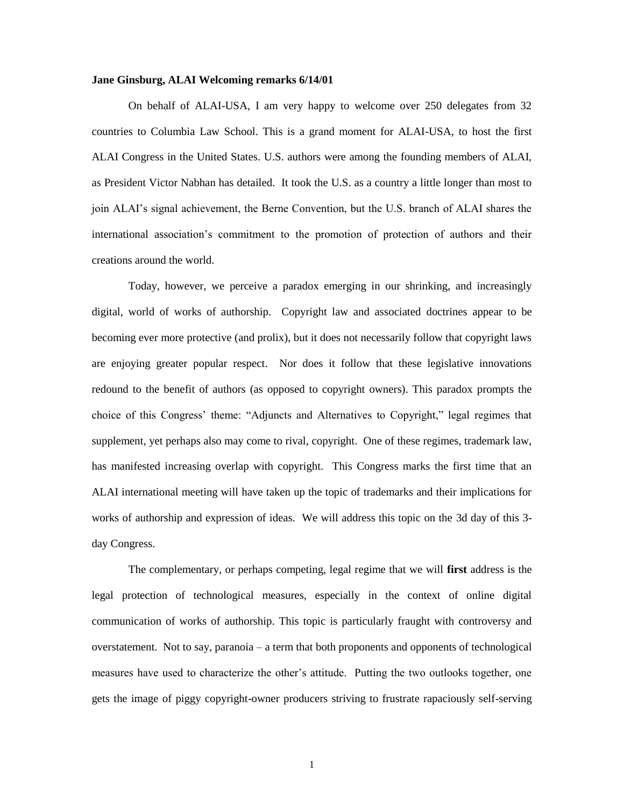## **Jane Ginsburg, ALAI Welcoming remarks 6/14/01**

On behalf of ALAI-USA, I am very happy to welcome over 250 delegates from 32 countries to Columbia Law School. This is a grand moment for ALAI-USA, to host the first ALAI Congress in the United States. U.S. authors were among the founding members of ALAI, as President Victor Nabhan has detailed. It took the U.S. as a country a little longer than most to join ALAI's signal achievement, the Berne Convention, but the U.S. branch of ALAI shares the international association's commitment to the promotion of protection of authors and their creations around the world.

Today, however, we perceive a paradox emerging in our shrinking, and increasingly digital, world of works of authorship. Copyright law and associated doctrines appear to be becoming ever more protective (and prolix), but it does not necessarily follow that copyright laws are enjoying greater popular respect. Nor does it follow that these legislative innovations redound to the benefit of authors (as opposed to copyright owners). This paradox prompts the choice of this Congress' theme: "Adjuncts and Alternatives to Copyright," legal regimes that supplement, yet perhaps also may come to rival, copyright. One of these regimes, trademark law, has manifested increasing overlap with copyright. This Congress marks the first time that an ALAI international meeting will have taken up the topic of trademarks and their implications for works of authorship and expression of ideas. We will address this topic on the 3d day of this 3 day Congress.

The complementary, or perhaps competing, legal regime that we will **first** address is the legal protection of technological measures, especially in the context of online digital communication of works of authorship. This topic is particularly fraught with controversy and overstatement. Not to say, paranoia – a term that both proponents and opponents of technological measures have used to characterize the other's attitude. Putting the two outlooks together, one gets the image of piggy copyright-owner producers striving to frustrate rapaciously self-serving